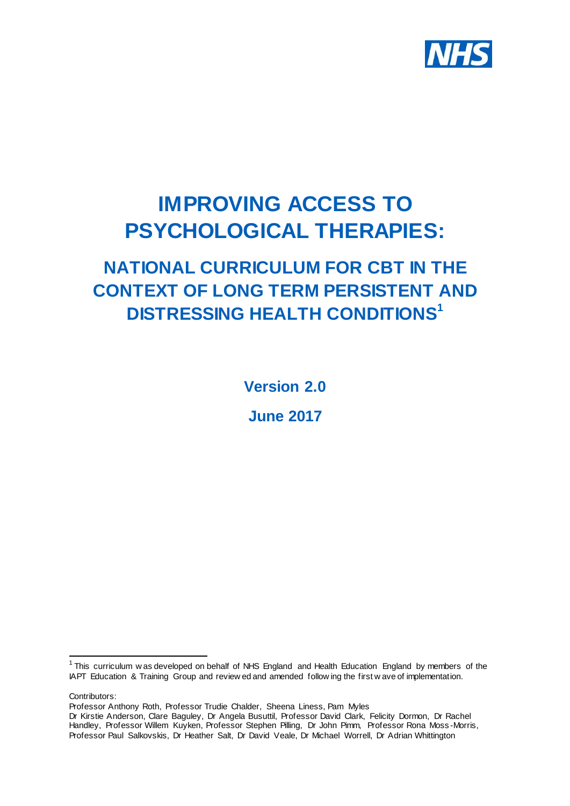

# **IMPROVING ACCESS TO PSYCHOLOGICAL THERAPIES:**

# **NATIONAL CURRICULUM FOR CBT IN THE CONTEXT OF LONG TERM PERSISTENT AND DISTRESSING HEALTH CONDITIONS<sup>1</sup>**

**Version 2.0 June 2017**

Contributors:

Professor Anthony Roth, Professor Trudie Chalder, Sheena Liness, Pam Myles

This curriculum w as developed on behalf of NHS England and Health Education England by members of the IAPT Education & Training Group and review ed and amended follow ing the first w ave of implementation.

Dr Kirstie Anderson, Clare Baguley, Dr Angela Busuttil, Professor David Clark, Felicity Dormon, Dr Rachel Handley, Professor Willem Kuyken, Professor Stephen Pilling, Dr John Pimm, Professor Rona Moss -Morris, Professor Paul Salkovskis, Dr Heather Salt, Dr David Veale, Dr Michael Worrell, Dr Adrian Whittington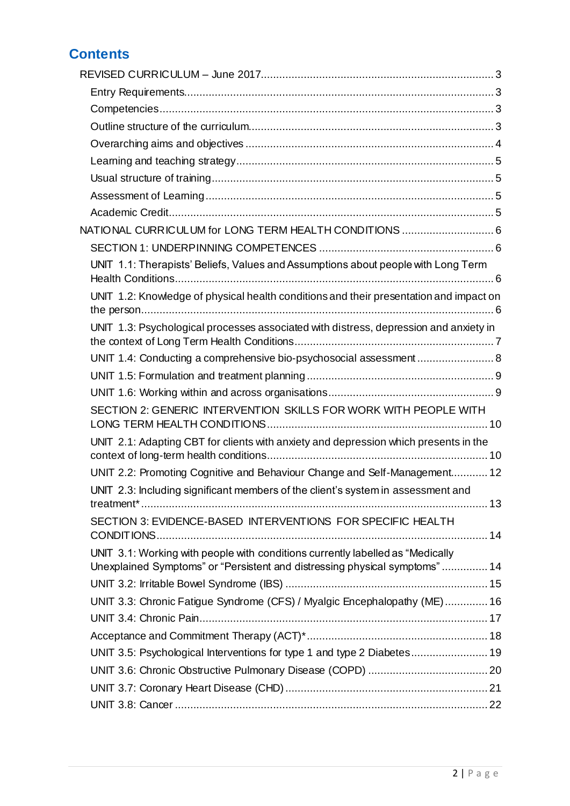# **Contents**

| NATIONAL CURRICULUM for LONG TERM HEALTH CONDITIONS  6                                                                                                       |  |
|--------------------------------------------------------------------------------------------------------------------------------------------------------------|--|
|                                                                                                                                                              |  |
| UNIT 1.1: Therapists' Beliefs, Values and Assumptions about people with Long Term                                                                            |  |
| UNIT 1.2: Knowledge of physical health conditions and their presentation and impact on                                                                       |  |
| UNIT 1.3: Psychological processes associated with distress, depression and anxiety in                                                                        |  |
| UNIT 1.4: Conducting a comprehensive bio-psychosocial assessment 8                                                                                           |  |
|                                                                                                                                                              |  |
|                                                                                                                                                              |  |
| SECTION 2: GENERIC INTERVENTION SKILLS FOR WORK WITH PEOPLE WITH                                                                                             |  |
| UNIT 2.1: Adapting CBT for clients with anxiety and depression which presents in the                                                                         |  |
| UNIT 2.2: Promoting Cognitive and Behaviour Change and Self-Management 12                                                                                    |  |
| UNIT 2.3: Including significant members of the client's system in assessment and                                                                             |  |
| SECTION 3: EVIDENCE-BASED INTERVENTIONS FOR SPECIFIC HEALTH                                                                                                  |  |
| UNIT 3.1: Working with people with conditions currently labelled as "Medically<br>Unexplained Symptoms" or "Persistent and distressing physical symptoms" 14 |  |
|                                                                                                                                                              |  |
| UNIT 3.3: Chronic Fatigue Syndrome (CFS) / Myalgic Encephalopathy (ME) 16                                                                                    |  |
|                                                                                                                                                              |  |
|                                                                                                                                                              |  |
| UNIT 3.5: Psychological Interventions for type 1 and type 2 Diabetes 19                                                                                      |  |
|                                                                                                                                                              |  |
|                                                                                                                                                              |  |
|                                                                                                                                                              |  |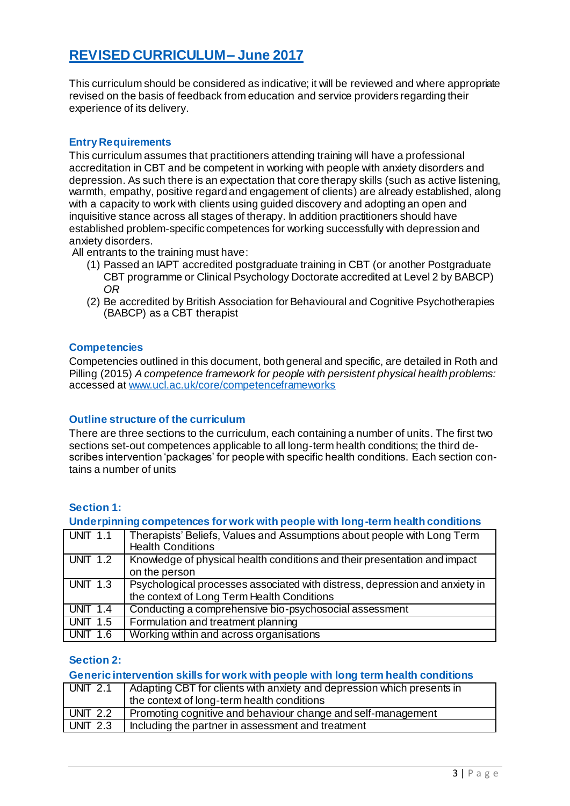# <span id="page-2-0"></span>**REVISED CURRICULUM – June 2017**

This curriculum should be considered as indicative; it will be reviewed and where appropriate revised on the basis of feedback from education and service providers regarding their experience of its delivery.

# <span id="page-2-1"></span>**Entry Requirements**

This curriculum assumes that practitioners attending training will have a professional accreditation in CBT and be competent in working with people with anxiety disorders and depression. As such there is an expectation that core therapy skills (such as active listening, warmth, empathy, positive regard and engagement of clients) are already established, along with a capacity to work with clients using guided discovery and adopting an open and inquisitive stance across all stages of therapy. In addition practitioners should have established problem-specific competences for working successfully with depression and anxiety disorders.

All entrants to the training must have:

- (1) Passed an IAPT accredited postgraduate training in CBT (or another Postgraduate CBT programme or Clinical Psychology Doctorate accredited at Level 2 by BABCP) *OR*
- (2) Be accredited by British Association for Behavioural and Cognitive Psychotherapies (BABCP) as a CBT therapist

# <span id="page-2-2"></span>**Competencies**

Competencies outlined in this document, both general and specific, are detailed in Roth and Pilling (2015) *A competence framework for people with persistent physical health problems:* accessed at [www.ucl.ac.uk/core/competenceframeworks](http://www.ucl.ac.uk/core/competenceframeworks)

# <span id="page-2-3"></span>**Outline structure of the curriculum**

There are three sections to the curriculum, each containing a number of units. The first two sections set-out competences applicable to all long-term health conditions; the third describes intervention 'packages' for people with specific health conditions. Each section contains a number of units

# **Section 1:**

#### **Underpinning competences for work with people with long-term health conditions**

| <b>UNIT 1.1</b> | Therapists' Beliefs, Values and Assumptions about people with Long Term<br><b>Health Conditions</b> |
|-----------------|-----------------------------------------------------------------------------------------------------|
| <b>UNIT 1.2</b> | Knowledge of physical health conditions and their presentation and impact<br>on the person          |
| <b>UNIT 1.3</b> | Psychological processes associated with distress, depression and anxiety in                         |
|                 | the context of Long Term Health Conditions                                                          |
| <b>UNIT 1.4</b> | Conducting a comprehensive bio-psychosocial assessment                                              |
| <b>UNIT 1.5</b> | Formulation and treatment planning                                                                  |
| <b>UNIT 1.6</b> | Working within and across organisations                                                             |

# **Section 2:**

# **Generic intervention skills for work with people with long term health conditions**

| <b>UNIT 2.1</b> | Adapting CBT for clients with anxiety and depression which presents in |
|-----------------|------------------------------------------------------------------------|
|                 | the context of long-term health conditions                             |
| <b>UNIT 2.2</b> | Promoting cognitive and behaviour change and self-management           |
| <b>UNIT 2.3</b> | Including the partner in assessment and treatment                      |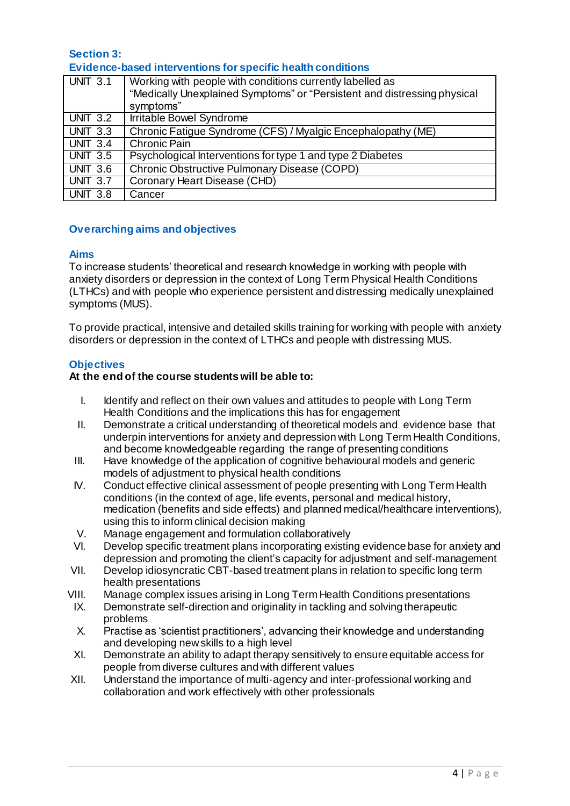# **Section 3: Evidence-based interventions for specific health conditions**

| <b>UNIT 3.1</b> | Working with people with conditions currently labelled as                |
|-----------------|--------------------------------------------------------------------------|
|                 | "Medically Unexplained Symptoms" or "Persistent and distressing physical |
|                 | symptoms"                                                                |
| <b>UNIT 3.2</b> | Irritable Bowel Syndrome                                                 |
| <b>UNIT 3.3</b> | Chronic Fatigue Syndrome (CFS) / Myalgic Encephalopathy (ME)             |
| <b>UNIT 3.4</b> | <b>Chronic Pain</b>                                                      |
| <b>UNIT 3.5</b> | Psychological Interventions for type 1 and type 2 Diabetes               |
| <b>UNIT 3.6</b> | Chronic Obstructive Pulmonary Disease (COPD)                             |
| <b>UNIT 3.7</b> | Coronary Heart Disease (CHD)                                             |
| <b>UNIT 3.8</b> | Cancer                                                                   |

# <span id="page-3-0"></span>**Overarching aims and objectives**

# **Aims**

To increase students' theoretical and research knowledge in working with people with anxiety disorders or depression in the context of Long Term Physical Health Conditions (LTHCs) and with people who experience persistent and distressing medically unexplained symptoms (MUS).

To provide practical, intensive and detailed skills training for working with people with anxiety disorders or depression in the context of LTHCs and people with distressing MUS.

# **Objectives**

# **At the end of the course students will be able to:**

- I. Identify and reflect on their own values and attitudes to people with Long Term Health Conditions and the implications this has for engagement
- II. Demonstrate a critical understanding of theoretical models and evidence base that underpin interventions for anxiety and depression with Long Term Health Conditions, and become knowledgeable regarding the range of presenting conditions
- III. Have knowledge of the application of cognitive behavioural models and generic models of adjustment to physical health conditions
- IV. Conduct effective clinical assessment of people presenting with Long Term Health conditions (in the context of age, life events, personal and medical history, medication (benefits and side effects) and planned medical/healthcare interventions), using this to inform clinical decision making
- V. Manage engagement and formulation collaboratively
- VI. Develop specific treatment plans incorporating existing evidence base for anxiety and depression and promoting the client's capacity for adjustment and self-management
- VII. Develop idiosyncratic CBT-based treatment plans in relation to specific long term health presentations
- VIII. Manage complex issues arising in Long Term Health Conditions presentations
- IX. Demonstrate self-direction and originality in tackling and solving therapeutic problems
- X. Practise as 'scientist practitioners', advancing their knowledge and understanding and developing new skills to a high level
- XI. Demonstrate an ability to adapt therapy sensitively to ensure equitable access for people from diverse cultures and with different values
- XII. Understand the importance of multi-agency and inter-professional working and collaboration and work effectively with other professionals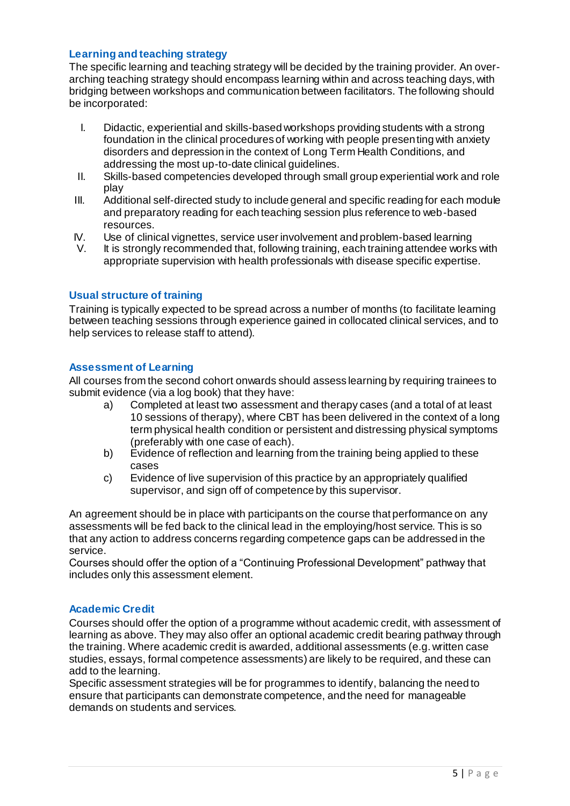# <span id="page-4-0"></span>**Learning and teaching strategy**

The specific learning and teaching strategy will be decided by the training provider. An overarching teaching strategy should encompass learning within and across teaching days, with bridging between workshops and communication between facilitators. The following should be incorporated:

- I. Didactic, experiential and skills-based workshops providing students with a strong foundation in the clinical procedures of working with people presenting with anxiety disorders and depression in the context of Long Term Health Conditions, and addressing the most up-to-date clinical guidelines.
- II. Skills-based competencies developed through small group experiential work and role play
- III. Additional self-directed study to include general and specific reading for each module and preparatory reading for each teaching session plus reference to web-based resources.
- IV. Use of clinical vignettes, service user involvement and problem-based learning
- V. It is strongly recommended that, following training, each training attendee works with appropriate supervision with health professionals with disease specific expertise.

# <span id="page-4-1"></span>**Usual structure of training**

Training is typically expected to be spread across a number of months (to facilitate learning between teaching sessions through experience gained in collocated clinical services, and to help services to release staff to attend).

#### <span id="page-4-2"></span>**Assessment of Learning**

All courses from the second cohort onwards should assess learning by requiring trainees to submit evidence (via a log book) that they have:

- a) Completed at least two assessment and therapy cases (and a total of at least 10 sessions of therapy), where CBT has been delivered in the context of a long term physical health condition or persistent and distressing physical symptoms (preferably with one case of each).
- b) Evidence of reflection and learning from the training being applied to these cases
- c) Evidence of live supervision of this practice by an appropriately qualified supervisor, and sign off of competence by this supervisor.

An agreement should be in place with participants on the course that performance on any assessments will be fed back to the clinical lead in the employing/host service. This is so that any action to address concerns regarding competence gaps can be addressed in the service.

Courses should offer the option of a "Continuing Professional Development" pathway that includes only this assessment element.

#### <span id="page-4-3"></span>**Academic Credit**

Courses should offer the option of a programme without academic credit, with assessment of learning as above. They may also offer an optional academic credit bearing pathway through the training. Where academic credit is awarded, additional assessments (e.g. written case studies, essays, formal competence assessments) are likely to be required, and these can add to the learning.

Specific assessment strategies will be for programmes to identify, balancing the need to ensure that participants can demonstrate competence, and the need for manageable demands on students and services.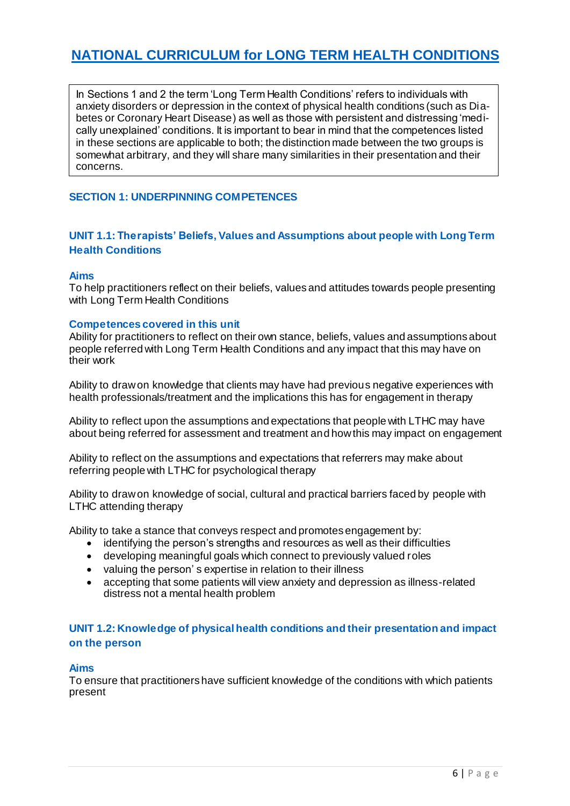# <span id="page-5-0"></span>**NATIONAL CURRICULUM for LONG TERM HEALTH CONDITIONS**

In Sections 1 and 2 the term 'Long Term Health Conditions' refers to individuals with anxiety disorders or depression in the context of physical health conditions (such as Diabetes or Coronary Heart Disease) as well as those with persistent and distressing 'medically unexplained' conditions. It is important to bear in mind that the competences listed in these sections are applicable to both; the distinction made between the two groups is somewhat arbitrary, and they will share many similarities in their presentation and their concerns.

# <span id="page-5-1"></span>**SECTION 1: UNDERPINNING COMPETENCES**

# <span id="page-5-2"></span>**UNIT 1.1: Therapists' Beliefs, Values and Assumptions about people with Long Term Health Conditions**

#### **Aims**

To help practitioners reflect on their beliefs, values and attitudes towards people presenting with Long Term Health Conditions

#### **Competences covered in this unit**

Ability for practitioners to reflect on their own stance, beliefs, values and assumptions about people referred with Long Term Health Conditions and any impact that this may have on their work

Ability to draw on knowledge that clients may have had previous negative experiences with health professionals/treatment and the implications this has for engagement in therapy

Ability to reflect upon the assumptions and expectations that people with LTHC may have about being referred for assessment and treatment and how this may impact on engagement

Ability to reflect on the assumptions and expectations that referrers may make about referring people with LTHC for psychological therapy

Ability to draw on knowledge of social, cultural and practical barriers faced by people with LTHC attending therapy

Ability to take a stance that conveys respect and promotes engagement by:

- identifying the person's strengths and resources as well as their difficulties
- developing meaningful goals which connect to previously valued roles
- valuing the person' s expertise in relation to their illness
- accepting that some patients will view anxiety and depression as illness-related distress not a mental health problem

# <span id="page-5-3"></span>**UNIT 1.2: Knowledge of physical health conditions and their presentation and impact on the person**

#### **Aims**

To ensure that practitioners have sufficient knowledge of the conditions with which patients present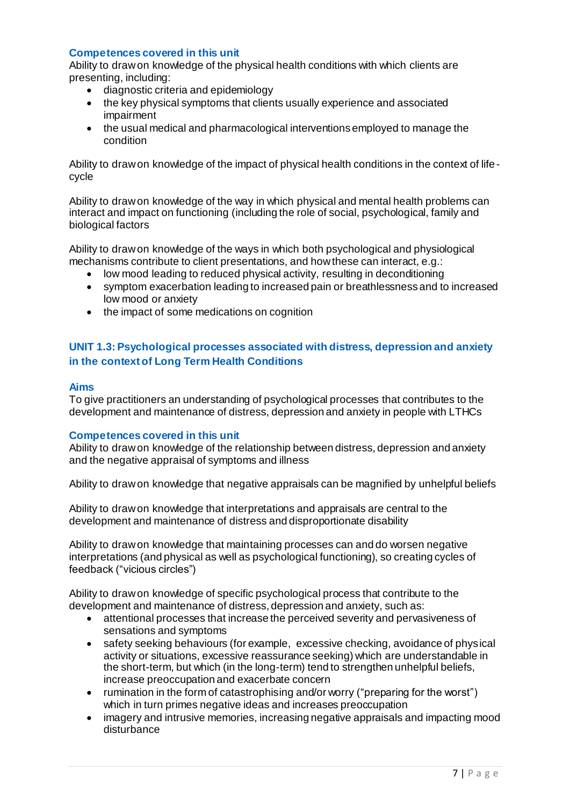# **Competences covered in this unit**

Ability to draw on knowledge of the physical health conditions with which clients are presenting, including:

- diagnostic criteria and epidemiology
- the key physical symptoms that clients usually experience and associated impairment
- the usual medical and pharmacological interventions employed to manage the condition

Ability to draw on knowledge of the impact of physical health conditions in the context of lifecycle

Ability to draw on knowledge of the way in which physical and mental health problems can interact and impact on functioning (including the role of social, psychological, family and biological factors

Ability to draw on knowledge of the ways in which both psychological and physiological mechanisms contribute to client presentations, and how these can interact, e.g.:

- low mood leading to reduced physical activity, resulting in deconditioning
- symptom exacerbation leading to increased pain or breathlessness and to increased low mood or anxiety
- the impact of some medications on cognition

# <span id="page-6-0"></span>**UNIT 1.3: Psychological processes associated with distress, depression and anxiety in the context of Long Term Health Conditions**

#### **Aims**

To give practitioners an understanding of psychological processes that contributes to the development and maintenance of distress, depression and anxiety in people with LTHCs

# **Competences covered in this unit**

Ability to draw on knowledge of the relationship between distress, depression and anxiety and the negative appraisal of symptoms and illness

Ability to draw on knowledge that negative appraisals can be magnified by unhelpful beliefs

Ability to draw on knowledge that interpretations and appraisals are central to the development and maintenance of distress and disproportionate disability

Ability to draw on knowledge that maintaining processes can and do worsen negative interpretations (and physical as well as psychological functioning), so creating cycles of feedback ("vicious circles")

Ability to draw on knowledge of specific psychological process that contribute to the development and maintenance of distress, depression and anxiety, such as:

- attentional processes that increase the perceived severity and pervasiveness of sensations and symptoms
- safety seeking behaviours (for example, excessive checking, avoidance of physical activity or situations, excessive reassurance seeking) which are understandable in the short-term, but which (in the long-term) tend to strengthen unhelpful beliefs, increase preoccupation and exacerbate concern
- rumination in the form of catastrophising and/or worry ("preparing for the worst") which in turn primes negative ideas and increases preoccupation
- imagery and intrusive memories, increasing negative appraisals and impacting mood disturbance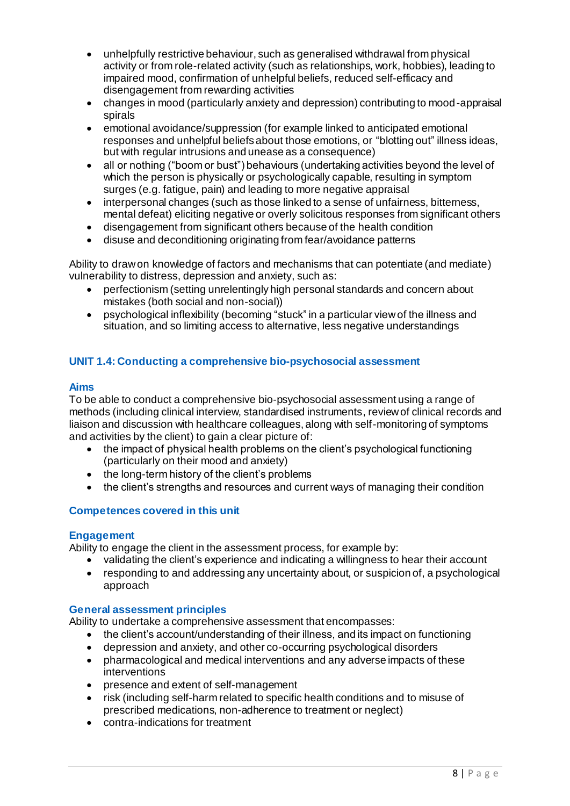- unhelpfully restrictive behaviour, such as generalised withdrawal from physical activity or from role-related activity (such as relationships, work, hobbies), leading to impaired mood, confirmation of unhelpful beliefs, reduced self-efficacy and disengagement from rewarding activities
- changes in mood (particularly anxiety and depression) contributing to mood-appraisal spirals
- emotional avoidance/suppression (for example linked to anticipated emotional responses and unhelpful beliefs about those emotions, or "blotting out" illness ideas, but with regular intrusions and unease as a consequence)
- all or nothing ("boom or bust") behaviours (undertaking activities beyond the level of which the person is physically or psychologically capable, resulting in symptom surges (e.g. fatigue, pain) and leading to more negative appraisal
- interpersonal changes (such as those linked to a sense of unfairness, bitterness, mental defeat) eliciting negative or overly solicitous responses from significant others
- disengagement from significant others because of the health condition
- disuse and deconditioning originating from fear/avoidance patterns

Ability to draw on knowledge of factors and mechanisms that can potentiate (and mediate) vulnerability to distress, depression and anxiety, such as:

- perfectionism (setting unrelentingly high personal standards and concern about mistakes (both social and non-social))
- psychological inflexibility (becoming "stuck" in a particular view of the illness and situation, and so limiting access to alternative, less negative understandings

# <span id="page-7-0"></span>**UNIT 1.4: Conducting a comprehensive bio-psychosocial assessment**

#### **Aims**

To be able to conduct a comprehensive bio-psychosocial assessment using a range of methods (including clinical interview, standardised instruments, review of clinical records and liaison and discussion with healthcare colleagues, along with self-monitoring of symptoms and activities by the client) to gain a clear picture of:

- the impact of physical health problems on the client's psychological functioning (particularly on their mood and anxiety)
- the long-term history of the client's problems
- the client's strengths and resources and current ways of managing their condition

# **Competences covered in this unit**

# **Engagement**

Ability to engage the client in the assessment process, for example by:

- validating the client's experience and indicating a willingness to hear their account
- responding to and addressing any uncertainty about, or suspicion of, a psychological approach

#### **General assessment principles**

Ability to undertake a comprehensive assessment that encompasses:

- the client's account/understanding of their illness, and its impact on functioning
- depression and anxiety, and other co-occurring psychological disorders
- pharmacological and medical interventions and any adverse impacts of these interventions
- presence and extent of self-management
- risk (including self-harm related to specific health conditions and to misuse of prescribed medications, non-adherence to treatment or neglect)
- contra-indications for treatment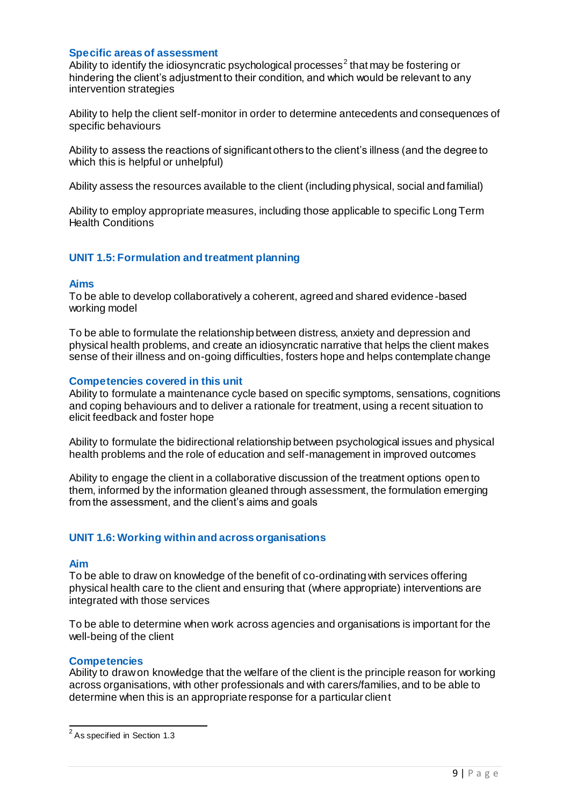# **Specific areas of assessment**

Ability to identify the idiosyncratic psychological processes<sup>2</sup> that may be fostering or hindering the client's adjustment to their condition, and which would be relevant to any intervention strategies

Ability to help the client self-monitor in order to determine antecedents and consequences of specific behaviours

Ability to assess the reactions of significant others to the client's illness (and the degree to which this is helpful or unhelpful)

Ability assess the resources available to the client (including physical, social and familial)

Ability to employ appropriate measures, including those applicable to specific Long Term Health Conditions

# <span id="page-8-0"></span>**UNIT 1.5: Formulation and treatment planning**

#### **Aims**

To be able to develop collaboratively a coherent, agreed and shared evidence-based working model

To be able to formulate the relationship between distress, anxiety and depression and physical health problems, and create an idiosyncratic narrative that helps the client makes sense of their illness and on-going difficulties, fosters hope and helps contemplate change

#### **Competencies covered in this unit**

Ability to formulate a maintenance cycle based on specific symptoms, sensations, cognitions and coping behaviours and to deliver a rationale for treatment, using a recent situation to elicit feedback and foster hope

Ability to formulate the bidirectional relationship between psychological issues and physical health problems and the role of education and self-management in improved outcomes

Ability to engage the client in a collaborative discussion of the treatment options open to them, informed by the information gleaned through assessment, the formulation emerging from the assessment, and the client's aims and goals

# <span id="page-8-1"></span>**UNIT 1.6: Working within and across organisations**

#### **Aim**

To be able to draw on knowledge of the benefit of co-ordinating with services offering physical health care to the client and ensuring that (where appropriate) interventions are integrated with those services

To be able to determine when work across agencies and organisations is important for the well-being of the client

#### **Competencies**

Ability to draw on knowledge that the welfare of the client is the principle reason for working across organisations, with other professionals and with carers/families, and to be able to determine when this is an appropriate response for a particular client

 $^2$  As specified in Section 1.3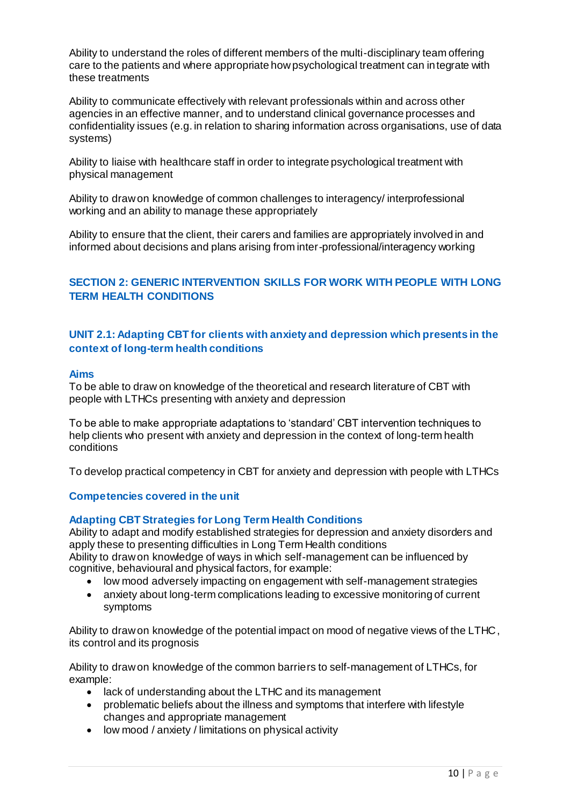Ability to understand the roles of different members of the multi-disciplinary team offering care to the patients and where appropriate how psychological treatment can integrate with these treatments

Ability to communicate effectively with relevant professionals within and across other agencies in an effective manner, and to understand clinical governance processes and confidentiality issues (e.g. in relation to sharing information across organisations, use of data systems)

Ability to liaise with healthcare staff in order to integrate psychological treatment with physical management

Ability to draw on knowledge of common challenges to interagency/ interprofessional working and an ability to manage these appropriately

Ability to ensure that the client, their carers and families are appropriately involved in and informed about decisions and plans arising from inter-professional/interagency working

# <span id="page-9-0"></span>**SECTION 2: GENERIC INTERVENTION SKILLS FOR WORK WITH PEOPLE WITH LONG TERM HEALTH CONDITIONS**

# <span id="page-9-1"></span>**UNIT 2.1: Adapting CBT for clients with anxiety and depression which presents in the context of long-term health conditions**

#### **Aims**

To be able to draw on knowledge of the theoretical and research literature of CBT with people with LTHCs presenting with anxiety and depression

To be able to make appropriate adaptations to 'standard' CBT intervention techniques to help clients who present with anxiety and depression in the context of long-term health conditions

To develop practical competency in CBT for anxiety and depression with people with LTHCs

# **Competencies covered in the unit**

#### **Adapting CBT Strategies for Long Term Health Conditions**

Ability to adapt and modify established strategies for depression and anxiety disorders and apply these to presenting difficulties in Long Term Health conditions Ability to draw on knowledge of ways in which self-management can be influenced by

cognitive, behavioural and physical factors, for example: low mood adversely impacting on engagement with self-management strategies

- anxiety about long-term complications leading to excessive monitoring of current
- symptoms

Ability to draw on knowledge of the potential impact on mood of negative views of the LTHC, its control and its prognosis

Ability to draw on knowledge of the common barriers to self-management of LTHCs, for example:

- lack of understanding about the LTHC and its management
- problematic beliefs about the illness and symptoms that interfere with lifestyle changes and appropriate management
- low mood / anxiety / limitations on physical activity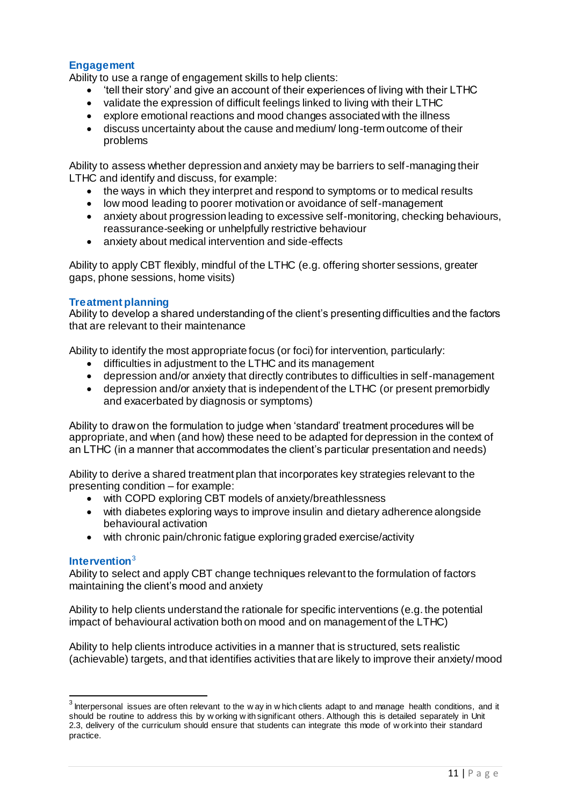# **Engagement**

Ability to use a range of engagement skills to help clients:

- 'tell their story' and give an account of their experiences of living with their LTHC
- validate the expression of difficult feelings linked to living with their LTHC
- explore emotional reactions and mood changes associated with the illness
- discuss uncertainty about the cause and medium/ long-term outcome of their problems

Ability to assess whether depression and anxiety may be barriers to self-managing their LTHC and identify and discuss, for example:

- the ways in which they interpret and respond to symptoms or to medical results
- low mood leading to poorer motivation or avoidance of self-management
- anxiety about progression leading to excessive self-monitoring, checking behaviours, reassurance-seeking or unhelpfully restrictive behaviour
- anxiety about medical intervention and side-effects

Ability to apply CBT flexibly, mindful of the LTHC (e.g. offering shorter sessions, greater gaps, phone sessions, home visits)

#### **Treatment planning**

Ability to develop a shared understanding of the client's presenting difficulties and the factors that are relevant to their maintenance

Ability to identify the most appropriate focus (or foci) for intervention, particularly:

- difficulties in adjustment to the LTHC and its management
- depression and/or anxiety that directly contributes to difficulties in self-management
- depression and/or anxiety that is independent of the LTHC (or present premorbidly and exacerbated by diagnosis or symptoms)

Ability to draw on the formulation to judge when 'standard' treatment procedures will be appropriate, and when (and how) these need to be adapted for depression in the context of an LTHC (in a manner that accommodates the client's particular presentation and needs)

Ability to derive a shared treatment plan that incorporates key strategies relevant to the presenting condition – for example:

- with COPD exploring CBT models of anxiety/breathlessness
- with diabetes exploring ways to improve insulin and dietary adherence alongside behavioural activation
- with chronic pain/chronic fatigue exploring graded exercise/activity

#### **Intervention**<sup>3</sup>

Ability to select and apply CBT change techniques relevant to the formulation of factors maintaining the client's mood and anxiety

Ability to help clients understand the rationale for specific interventions (e.g. the potential impact of behavioural activation both on mood and on management of the LTHC)

Ability to help clients introduce activities in a manner that is structured, sets realistic (achievable) targets, and that identifies activities that are likely to improve their anxiety/mood

 $^3$  Interpersonal issues are often relevant to the w ay in w hich clients adapt to and manage health conditions, and it should be routine to address this by w orking w ith significant others. Although this is detailed separately in Unit 2.3, delivery of the curriculum should ensure that students can integrate this mode of w ork into their standard practice.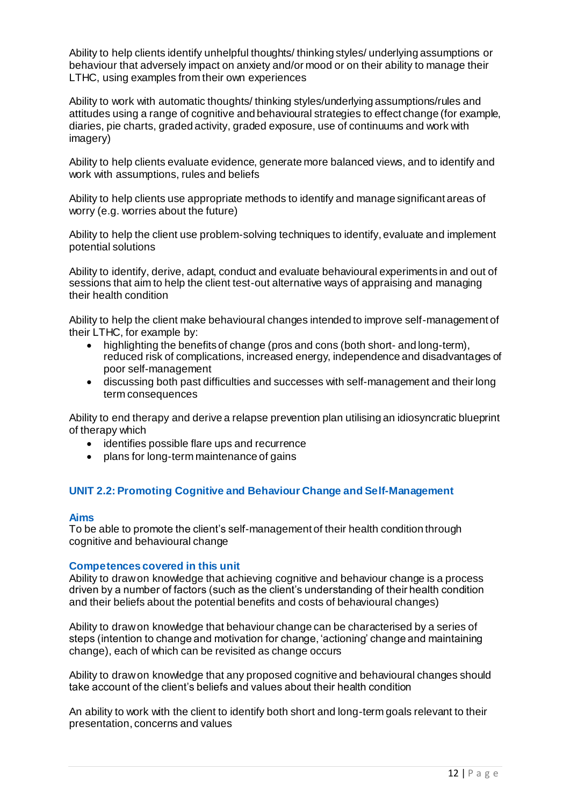Ability to help clients identify unhelpful thoughts/ thinking styles/ underlying assumptions or behaviour that adversely impact on anxiety and/or mood or on their ability to manage their LTHC, using examples from their own experiences

Ability to work with automatic thoughts/ thinking styles/underlying assumptions/rules and attitudes using a range of cognitive and behavioural strategies to effect change (for example, diaries, pie charts, graded activity, graded exposure, use of continuums and work with imagery)

Ability to help clients evaluate evidence, generate more balanced views, and to identify and work with assumptions, rules and beliefs

Ability to help clients use appropriate methods to identify and manage significant areas of worry (e.g. worries about the future)

Ability to help the client use problem-solving techniques to identify, evaluate and implement potential solutions

Ability to identify, derive, adapt, conduct and evaluate behavioural experiments in and out of sessions that aim to help the client test-out alternative ways of appraising and managing their health condition

Ability to help the client make behavioural changes intended to improve self-management of their LTHC, for example by:

- highlighting the benefits of change (pros and cons (both short- and long-term), reduced risk of complications, increased energy, independence and disadvantages of poor self-management
- discussing both past difficulties and successes with self-management and their long term consequences

Ability to end therapy and derive a relapse prevention plan utilising an idiosyncratic blueprint of therapy which

- identifies possible flare ups and recurrence
- plans for long-term maintenance of gains

# <span id="page-11-0"></span>**UNIT 2.2: Promoting Cognitive and Behaviour Change and Self-Management**

#### **Aims**

To be able to promote the client's self-management of their health condition through cognitive and behavioural change

#### **Competences covered in this unit**

Ability to draw on knowledge that achieving cognitive and behaviour change is a process driven by a number of factors (such as the client's understanding of their health condition and their beliefs about the potential benefits and costs of behavioural changes)

Ability to draw on knowledge that behaviour change can be characterised by a series of steps (intention to change and motivation for change, 'actioning' change and maintaining change), each of which can be revisited as change occurs

Ability to draw on knowledge that any proposed cognitive and behavioural changes should take account of the client's beliefs and values about their health condition

An ability to work with the client to identify both short and long-term goals relevant to their presentation, concerns and values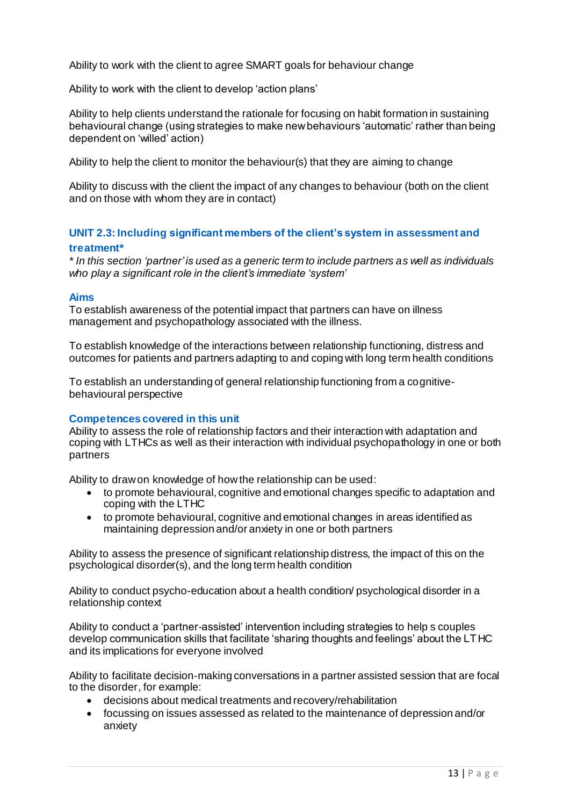Ability to work with the client to agree SMART goals for behaviour change

Ability to work with the client to develop 'action plans'

Ability to help clients understand the rationale for focusing on habit formation in sustaining behavioural change (using strategies to make new behaviours 'automatic' rather than being dependent on 'willed' action)

Ability to help the client to monitor the behaviour(s) that they are aiming to change

Ability to discuss with the client the impact of any changes to behaviour (both on the client and on those with whom they are in contact)

# <span id="page-12-0"></span>**UNIT 2.3: Including significant members of the client's system in assessment and treatment\***

*\* In this section 'partner' is used as a generic term to include partners as well as individuals who play a significant role in the client's immediate 'system'*

#### **Aims**

To establish awareness of the potential impact that partners can have on illness management and psychopathology associated with the illness.

To establish knowledge of the interactions between relationship functioning, distress and outcomes for patients and partners adapting to and coping with long term health conditions

To establish an understanding of general relationship functioning from a cognitivebehavioural perspective

# **Competences covered in this unit**

Ability to assess the role of relationship factors and their interaction with adaptation and coping with LTHCs as well as their interaction with individual psychopathology in one or both partners

Ability to draw on knowledge of how the relationship can be used:

- to promote behavioural, cognitive and emotional changes specific to adaptation and coping with the LTHC
- to promote behavioural, cognitive and emotional changes in areas identified as maintaining depression and/or anxiety in one or both partners

Ability to assess the presence of significant relationship distress, the impact of this on the psychological disorder(s), and the long term health condition

Ability to conduct psycho-education about a health condition/ psychological disorder in a relationship context

Ability to conduct a 'partner-assisted' intervention including strategies to help s couples develop communication skills that facilitate 'sharing thoughts and feelings' about the LTHC and its implications for everyone involved

Ability to facilitate decision-making conversations in a partner assisted session that are focal to the disorder, for example:

- decisions about medical treatments and recovery/rehabilitation
- focussing on issues assessed as related to the maintenance of depression and/or anxiety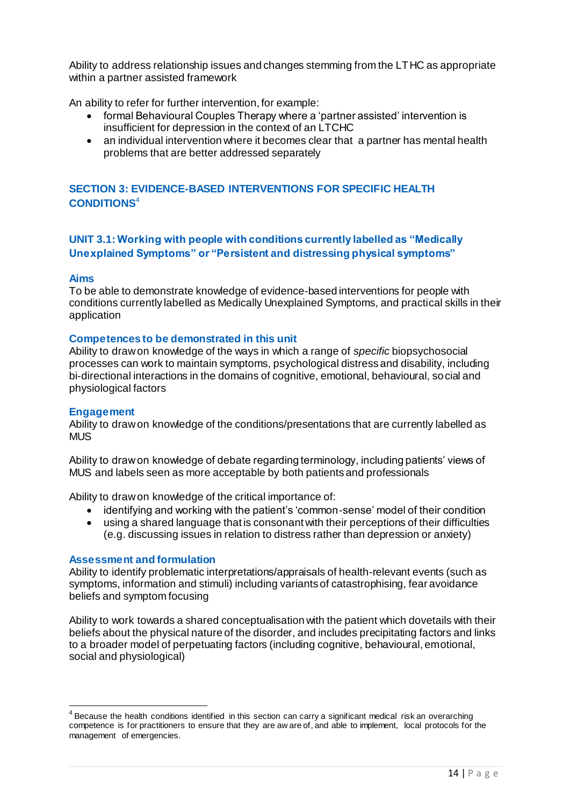Ability to address relationship issues and changes stemming from the LTHC as appropriate within a partner assisted framework

An ability to refer for further intervention, for example:

- formal Behavioural Couples Therapy where a 'partner assisted' intervention is insufficient for depression in the context of an LTCHC
- an individual intervention where it becomes clear that a partner has mental health problems that are better addressed separately

# <span id="page-13-0"></span>**SECTION 3: EVIDENCE-BASED INTERVENTIONS FOR SPECIFIC HEALTH CONDITIONS**<sup>4</sup>

# <span id="page-13-1"></span>**UNIT 3.1: Working with people with conditions currently labelled as "Medically Unexplained Symptoms" or "Persistent and distressing physical symptoms"**

# **Aims**

To be able to demonstrate knowledge of evidence-based interventions for people with conditions currently labelled as Medically Unexplained Symptoms, and practical skills in their application

#### **Competences to be demonstrated in this unit**

Ability to draw on knowledge of the ways in which a range of *specific* biopsychosocial processes can work to maintain symptoms, psychological distress and disability, including bi-directional interactions in the domains of cognitive, emotional, behavioural, social and physiological factors

#### **Engagement**

Ability to draw on knowledge of the conditions/presentations that are currently labelled as MUS<sup>T</sup>

Ability to draw on knowledge of debate regarding terminology, including patients' views of MUS and labels seen as more acceptable by both patients and professionals

Ability to draw on knowledge of the critical importance of:

- identifying and working with the patient's 'common-sense' model of their condition
- using a shared language that is consonant with their perceptions of their difficulties (e.g. discussing issues in relation to distress rather than depression or anxiety)

#### **Assessment and formulation**

Ability to identify problematic interpretations/appraisals of health-relevant events (such as symptoms, information and stimuli) including variants of catastrophising, fear avoidance beliefs and symptom focusing

Ability to work towards a shared conceptualisation with the patient which dovetails with their beliefs about the physical nature of the disorder, and includes precipitating factors and links to a broader model of perpetuating factors (including cognitive, behavioural, emotional, social and physiological)

<sup>4&</sup>lt;br><sup>4</sup> Because the health conditions identified in this section can carry a significant medical risk an overarching competence is for practitioners to ensure that they are aw are of, and able to implement, local protocols for the management of emergencies.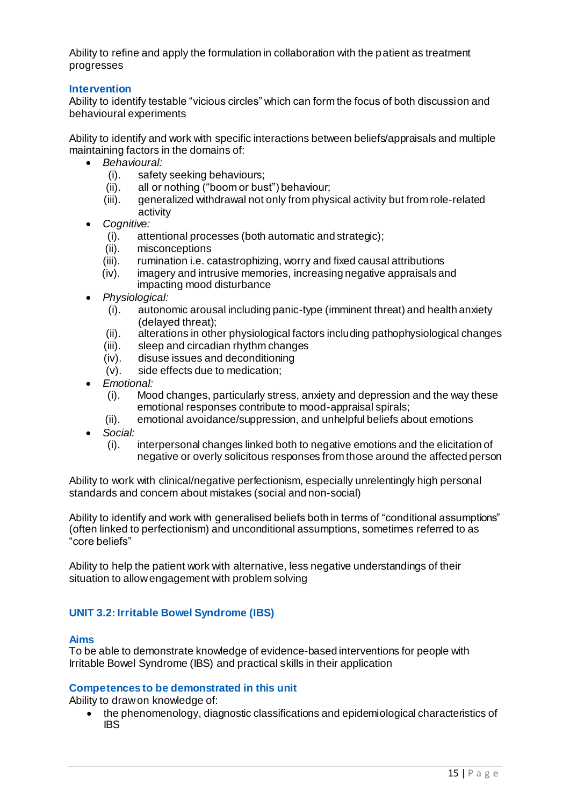Ability to refine and apply the formulation in collaboration with the patient as treatment progresses

#### **Intervention**

Ability to identify testable "vicious circles" which can form the focus of both discussion and behavioural experiments

Ability to identify and work with specific interactions between beliefs/appraisals and multiple maintaining factors in the domains of:

- *Behavioural:* 
	- (i). safety seeking behaviours;
	- (ii). all or nothing ("boom or bust") behaviour;
	- (iii). generalized withdrawal not only from physical activity but from role-related activity
- *Cognitive:*
	- (i). attentional processes (both automatic and strategic);
	- (ii). misconceptions
	- (iii). rumination i.e. catastrophizing, worry and fixed causal attributions
	- (iv). imagery and intrusive memories, increasing negative appraisals and
	- impacting mood disturbance
- *Physiological:*
	- (i). autonomic arousal including panic-type (imminent threat) and health anxiety (delayed threat);
	- (ii). alterations in other physiological factors including pathophysiological changes
	- (iii). sleep and circadian rhythm changes
	- (iv). disuse issues and deconditioning
	- (v). side effects due to medication;
- *Emotional:*
	- (i). Mood changes, particularly stress, anxiety and depression and the way these emotional responses contribute to mood-appraisal spirals;
	- (ii). emotional avoidance/suppression, and unhelpful beliefs about emotions
- *Social:*
	- (i). interpersonal changes linked both to negative emotions and the elicitation of negative or overly solicitous responses from those around the affected person

Ability to work with clinical/negative perfectionism, especially unrelentingly high personal standards and concern about mistakes (social and non-social)

Ability to identify and work with generalised beliefs both in terms of "conditional assumptions" (often linked to perfectionism) and unconditional assumptions, sometimes referred to as "core beliefs"

Ability to help the patient work with alternative, less negative understandings of their situation to allow engagement with problem solving

# <span id="page-14-0"></span>**UNIT 3.2: Irritable Bowel Syndrome (IBS)**

#### **Aims**

To be able to demonstrate knowledge of evidence-based interventions for people with Irritable Bowel Syndrome (IBS) and practical skills in their application

#### **Competences to be demonstrated in this unit**

Ability to draw on knowledge of:

• the phenomenology, diagnostic classifications and epidemiological characteristics of IBS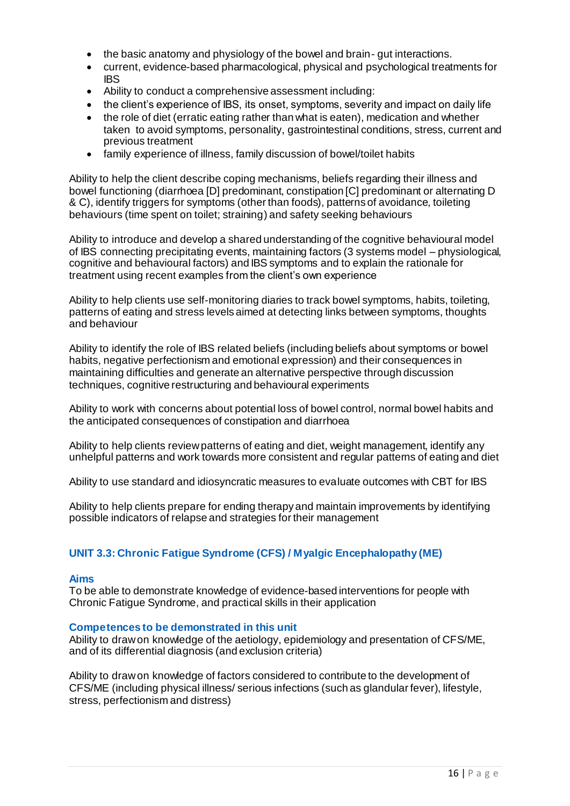- the basic anatomy and physiology of the bowel and brain- gut interactions.
- current, evidence-based pharmacological, physical and psychological treatments for IBS
- Ability to conduct a comprehensive assessment including:
- the client's experience of IBS, its onset, symptoms, severity and impact on daily life
- the role of diet (erratic eating rather than what is eaten), medication and whether taken to avoid symptoms, personality, gastrointestinal conditions, stress, current and previous treatment
- family experience of illness, family discussion of bowel/toilet habits

Ability to help the client describe coping mechanisms, beliefs regarding their illness and bowel functioning (diarrhoea [D] predominant, constipation [C] predominant or alternating D & C), identify triggers for symptoms (other than foods), patterns of avoidance, toileting behaviours (time spent on toilet; straining) and safety seeking behaviours

Ability to introduce and develop a shared understanding of the cognitive behavioural model of IBS connecting precipitating events, maintaining factors (3 systems model – physiological, cognitive and behavioural factors) and IBS symptoms and to explain the rationale for treatment using recent examples from the client's own experience

Ability to help clients use self-monitoring diaries to track bowel symptoms, habits, toileting, patterns of eating and stress levels aimed at detecting links between symptoms, thoughts and behaviour

Ability to identify the role of IBS related beliefs (including beliefs about symptoms or bowel habits, negative perfectionism and emotional expression) and their consequences in maintaining difficulties and generate an alternative perspective through discussion techniques, cognitive restructuring and behavioural experiments

Ability to work with concerns about potential loss of bowel control, normal bowel habits and the anticipated consequences of constipation and diarrhoea

Ability to help clients review patterns of eating and diet, weight management, identify any unhelpful patterns and work towards more consistent and regular patterns of eating and diet

Ability to use standard and idiosyncratic measures to evaluate outcomes with CBT for IBS

Ability to help clients prepare for ending therapy and maintain improvements by identifying possible indicators of relapse and strategies for their management

# <span id="page-15-0"></span>**UNIT 3.3: Chronic Fatigue Syndrome (CFS) / Myalgic Encephalopathy (ME)**

#### **Aims**

To be able to demonstrate knowledge of evidence-based interventions for people with Chronic Fatigue Syndrome, and practical skills in their application

#### **Competences to be demonstrated in this unit**

Ability to draw on knowledge of the aetiology, epidemiology and presentation of CFS/ME, and of its differential diagnosis (and exclusion criteria)

Ability to draw on knowledge of factors considered to contribute to the development of CFS/ME (including physical illness/ serious infections (such as glandular fever), lifestyle, stress, perfectionism and distress)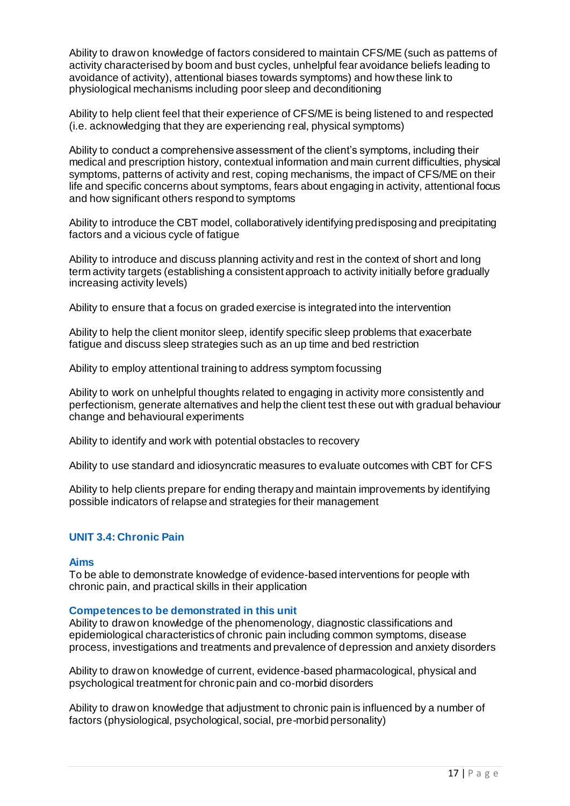Ability to draw on knowledge of factors considered to maintain CFS/ME (such as patterns of activity characterised by boom and bust cycles, unhelpful fear avoidance beliefs leading to avoidance of activity), attentional biases towards symptoms) and how these link to physiological mechanisms including poor sleep and deconditioning

Ability to help client feel that their experience of CFS/ME is being listened to and respected (i.e. acknowledging that they are experiencing real, physical symptoms)

Ability to conduct a comprehensive assessment of the client's symptoms, including their medical and prescription history, contextual information and main current difficulties, physical symptoms, patterns of activity and rest, coping mechanisms, the impact of CFS/ME on their life and specific concerns about symptoms, fears about engaging in activity, attentional focus and how significant others respond to symptoms

Ability to introduce the CBT model, collaboratively identifying predisposing and precipitating factors and a vicious cycle of fatigue

Ability to introduce and discuss planning activity and rest in the context of short and long term activity targets (establishing a consistent approach to activity initially before gradually increasing activity levels)

Ability to ensure that a focus on graded exercise is integrated into the intervention

Ability to help the client monitor sleep, identify specific sleep problems that exacerbate fatigue and discuss sleep strategies such as an up time and bed restriction

Ability to employ attentional training to address symptom focussing

Ability to work on unhelpful thoughts related to engaging in activity more consistently and perfectionism, generate alternatives and help the client test these out with gradual behaviour change and behavioural experiments

Ability to identify and work with potential obstacles to recovery

Ability to use standard and idiosyncratic measures to evaluate outcomes with CBT for CFS

Ability to help clients prepare for ending therapy and maintain improvements by identifying possible indicators of relapse and strategies for their management

# <span id="page-16-0"></span>**UNIT 3.4: Chronic Pain**

#### **Aims**

To be able to demonstrate knowledge of evidence-based interventions for people with chronic pain, and practical skills in their application

#### **Competences to be demonstrated in this unit**

Ability to draw on knowledge of the phenomenology, diagnostic classifications and epidemiological characteristics of chronic pain including common symptoms, disease process, investigations and treatments and prevalence of depression and anxiety disorders

Ability to draw on knowledge of current, evidence-based pharmacological, physical and psychological treatment for chronic pain and co-morbid disorders

Ability to draw on knowledge that adjustment to chronic pain is influenced by a number of factors (physiological, psychological, social, pre-morbid personality)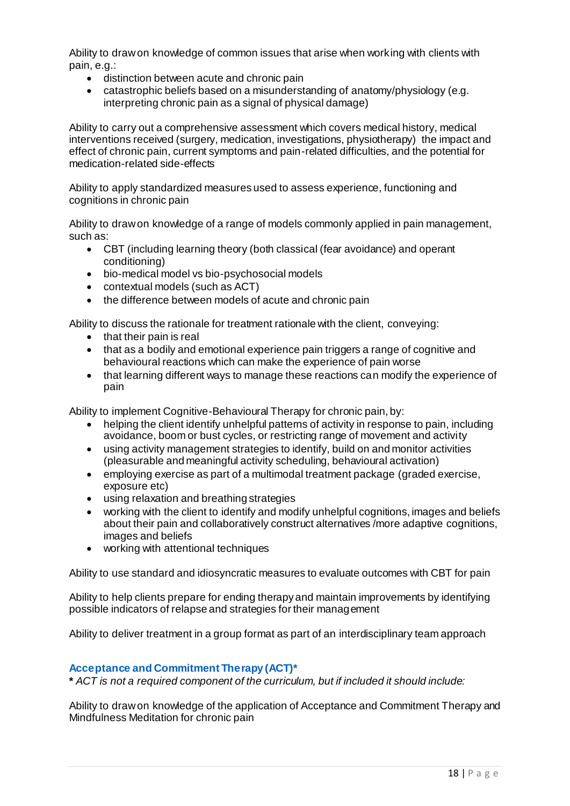Ability to draw on knowledge of common issues that arise when working with clients with pain, e.g.:

- distinction between acute and chronic pain
- catastrophic beliefs based on a misunderstanding of anatomy/physiology (e.g. interpreting chronic pain as a signal of physical damage)

Ability to carry out a comprehensive assessment which covers medical history, medical interventions received (surgery, medication, investigations, physiotherapy) the impact and effect of chronic pain, current symptoms and pain-related difficulties, and the potential for medication-related side-effects

Ability to apply standardized measures used to assess experience, functioning and cognitions in chronic pain

Ability to draw on knowledge of a range of models commonly applied in pain management, such as:

- CBT (including learning theory (both classical (fear avoidance) and operant conditioning)
- bio-medical model vs bio-psychosocial models
- contextual models (such as ACT)
- the difference between models of acute and chronic pain

Ability to discuss the rationale for treatment rationale with the client, conveying:

- that their pain is real
- that as a bodily and emotional experience pain triggers a range of cognitive and behavioural reactions which can make the experience of pain worse
- that learning different ways to manage these reactions can modify the experience of pain

Ability to implement Cognitive-Behavioural Therapy for chronic pain, by:

- helping the client identify unhelpful patterns of activity in response to pain, including avoidance, boom or bust cycles, or restricting range of movement and activity
- using activity management strategies to identify, build on and monitor activities (pleasurable and meaningful activity scheduling, behavioural activation)
- employing exercise as part of a multimodal treatment package (graded exercise, exposure etc)
- using relaxation and breathing strategies
- working with the client to identify and modify unhelpful cognitions, images and beliefs about their pain and collaboratively construct alternatives /more adaptive cognitions, images and beliefs
- working with attentional techniques

Ability to use standard and idiosyncratic measures to evaluate outcomes with CBT for pain

Ability to help clients prepare for ending therapy and maintain improvements by identifying possible indicators of relapse and strategies for their management

Ability to deliver treatment in a group format as part of an interdisciplinary team approach

# <span id="page-17-0"></span>**Acceptance and Commitment Therapy (ACT)\***

**\*** *ACT is not a required component of the curriculum, but if included it should include:*

Ability to draw on knowledge of the application of Acceptance and Commitment Therapy and Mindfulness Meditation for chronic pain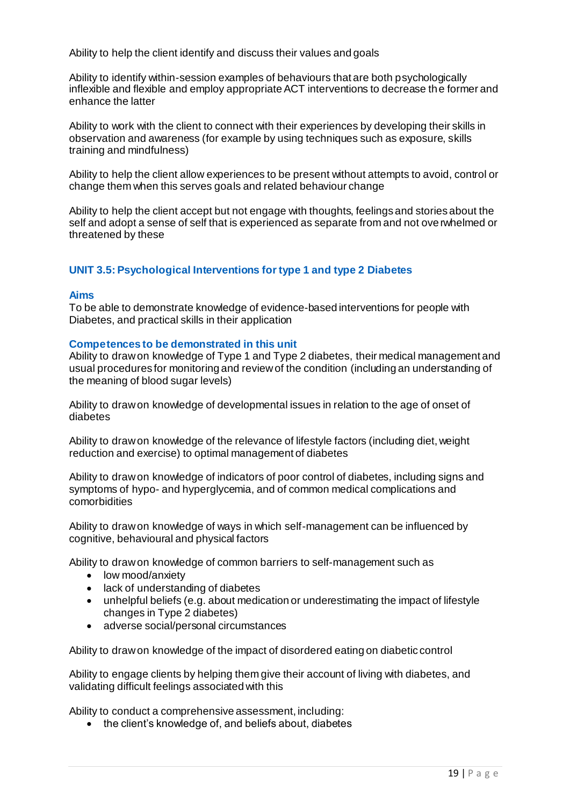Ability to help the client identify and discuss their values and goals

Ability to identify within-session examples of behaviours that are both psychologically inflexible and flexible and employ appropriate ACT interventions to decrease the former and enhance the latter

Ability to work with the client to connect with their experiences by developing their skills in observation and awareness (for example by using techniques such as exposure, skills training and mindfulness)

Ability to help the client allow experiences to be present without attempts to avoid, control or change them when this serves goals and related behaviour change

Ability to help the client accept but not engage with thoughts, feelings and stories about the self and adopt a sense of self that is experienced as separate from and not overwhelmed or threatened by these

# <span id="page-18-0"></span>**UNIT 3.5: Psychological Interventions for type 1 and type 2 Diabetes**

#### **Aims**

To be able to demonstrate knowledge of evidence-based interventions for people with Diabetes, and practical skills in their application

#### **Competences to be demonstrated in this unit**

Ability to draw on knowledge of Type 1 and Type 2 diabetes, their medical management and usual procedures for monitoring and review of the condition (including an understanding of the meaning of blood sugar levels)

Ability to draw on knowledge of developmental issues in relation to the age of onset of diabetes

Ability to draw on knowledge of the relevance of lifestyle factors (including diet, weight reduction and exercise) to optimal management of diabetes

Ability to draw on knowledge of indicators of poor control of diabetes, including signs and symptoms of hypo- and hyperglycemia, and of common medical complications and comorbidities

Ability to draw on knowledge of ways in which self-management can be influenced by cognitive, behavioural and physical factors

Ability to draw on knowledge of common barriers to self-management such as

- low mood/anxiety
- lack of understanding of diabetes
- unhelpful beliefs (e.g. about medication or underestimating the impact of lifestyle changes in Type 2 diabetes)
- adverse social/personal circumstances

Ability to draw on knowledge of the impact of disordered eating on diabetic control

Ability to engage clients by helping them give their account of living with diabetes, and validating difficult feelings associated with this

Ability to conduct a comprehensive assessment, including:

• the client's knowledge of, and beliefs about, diabetes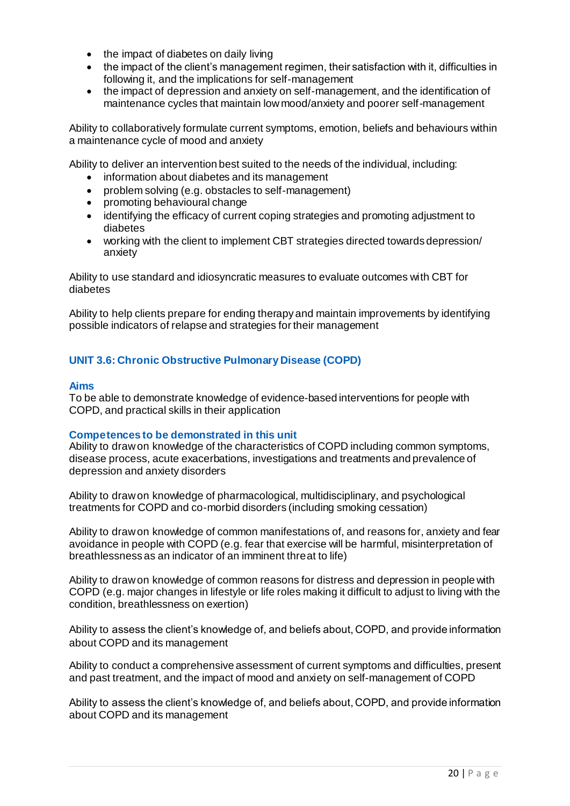- the impact of diabetes on daily living
- the impact of the client's management regimen, their satisfaction with it, difficulties in following it, and the implications for self-management
- the impact of depression and anxiety on self-management, and the identification of maintenance cycles that maintain low mood/anxiety and poorer self-management

Ability to collaboratively formulate current symptoms, emotion, beliefs and behaviours within a maintenance cycle of mood and anxiety

Ability to deliver an intervention best suited to the needs of the individual, including:

- information about diabetes and its management
- problem solving (e.g. obstacles to self-management)
- promoting behavioural change
- identifying the efficacy of current coping strategies and promoting adjustment to diabetes
- working with the client to implement CBT strategies directed towards depression/ anxiety

Ability to use standard and idiosyncratic measures to evaluate outcomes with CBT for diabetes

Ability to help clients prepare for ending therapy and maintain improvements by identifying possible indicators of relapse and strategies for their management

# <span id="page-19-0"></span>**UNIT 3.6: Chronic Obstructive Pulmonary Disease (COPD)**

#### **Aims**

To be able to demonstrate knowledge of evidence-based interventions for people with COPD, and practical skills in their application

# **Competences to be demonstrated in this unit**

Ability to draw on knowledge of the characteristics of COPD including common symptoms, disease process, acute exacerbations, investigations and treatments and prevalence of depression and anxiety disorders

Ability to draw on knowledge of pharmacological, multidisciplinary, and psychological treatments for COPD and co-morbid disorders (including smoking cessation)

Ability to draw on knowledge of common manifestations of, and reasons for, anxiety and fear avoidance in people with COPD (e.g. fear that exercise will be harmful, misinterpretation of breathlessness as an indicator of an imminent threat to life)

Ability to draw on knowledge of common reasons for distress and depression in people with COPD (e.g. major changes in lifestyle or life roles making it difficult to adjust to living with the condition, breathlessness on exertion)

Ability to assess the client's knowledge of, and beliefs about, COPD, and provide information about COPD and its management

Ability to conduct a comprehensive assessment of current symptoms and difficulties, present and past treatment, and the impact of mood and anxiety on self-management of COPD

Ability to assess the client's knowledge of, and beliefs about, COPD, and provide information about COPD and its management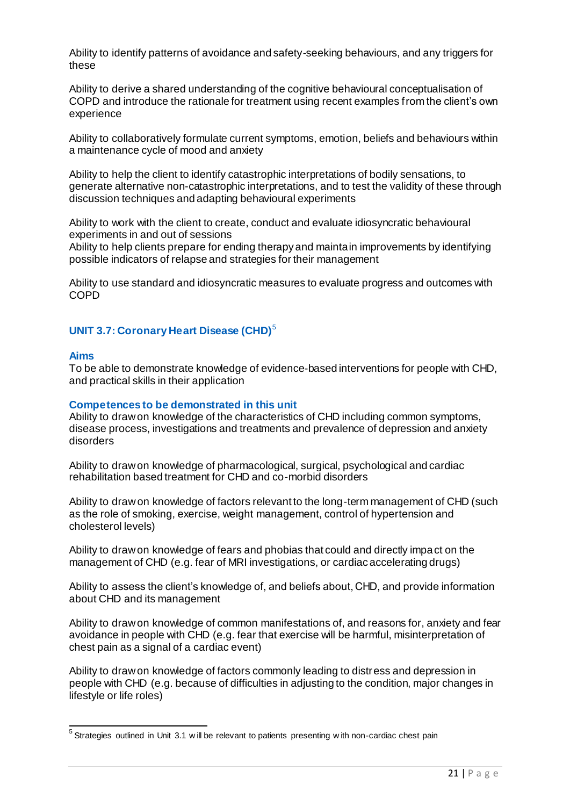Ability to identify patterns of avoidance and safety-seeking behaviours, and any triggers for these

Ability to derive a shared understanding of the cognitive behavioural conceptualisation of COPD and introduce the rationale for treatment using recent examples from the client's own experience

Ability to collaboratively formulate current symptoms, emotion, beliefs and behaviours within a maintenance cycle of mood and anxiety

Ability to help the client to identify catastrophic interpretations of bodily sensations, to generate alternative non-catastrophic interpretations, and to test the validity of these through discussion techniques and adapting behavioural experiments

Ability to work with the client to create, conduct and evaluate idiosyncratic behavioural experiments in and out of sessions

Ability to help clients prepare for ending therapy and maintain improvements by identifying possible indicators of relapse and strategies for their management

Ability to use standard and idiosyncratic measures to evaluate progress and outcomes with COPD

# <span id="page-20-0"></span>**UNIT 3.7: Coronary Heart Disease (CHD)**<sup>5</sup>

#### **Aims**

To be able to demonstrate knowledge of evidence-based interventions for people with CHD, and practical skills in their application

#### **Competences to be demonstrated in this unit**

Ability to draw on knowledge of the characteristics of CHD including common symptoms, disease process, investigations and treatments and prevalence of depression and anxiety disorders

Ability to draw on knowledge of pharmacological, surgical, psychological and cardiac rehabilitation based treatment for CHD and co-morbid disorders

Ability to draw on knowledge of factors relevant to the long-term management of CHD (such as the role of smoking, exercise, weight management, control of hypertension and cholesterol levels)

Ability to draw on knowledge of fears and phobias that could and directly impact on the management of CHD (e.g. fear of MRI investigations, or cardiac accelerating drugs)

Ability to assess the client's knowledge of, and beliefs about, CHD, and provide information about CHD and its management

Ability to draw on knowledge of common manifestations of, and reasons for, anxiety and fear avoidance in people with CHD (e.g. fear that exercise will be harmful, misinterpretation of chest pain as a signal of a cardiac event)

Ability to draw on knowledge of factors commonly leading to distress and depression in people with CHD (e.g. because of difficulties in adjusting to the condition, major changes in lifestyle or life roles)

 5 Strategies outlined in Unit 3.1 w ill be relevant to patients presenting w ith non-cardiac chest pain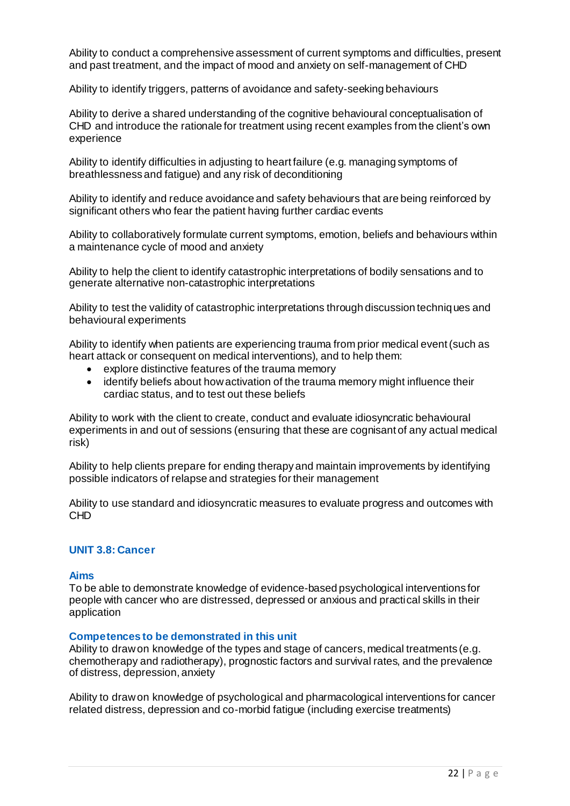Ability to conduct a comprehensive assessment of current symptoms and difficulties, present and past treatment, and the impact of mood and anxiety on self-management of CHD

Ability to identify triggers, patterns of avoidance and safety-seeking behaviours

Ability to derive a shared understanding of the cognitive behavioural conceptualisation of CHD and introduce the rationale for treatment using recent examples from the client's own experience

Ability to identify difficulties in adjusting to heart failure (e.g. managing symptoms of breathlessness and fatigue) and any risk of deconditioning

Ability to identify and reduce avoidance and safety behaviours that are being reinforced by significant others who fear the patient having further cardiac events

Ability to collaboratively formulate current symptoms, emotion, beliefs and behaviours within a maintenance cycle of mood and anxiety

Ability to help the client to identify catastrophic interpretations of bodily sensations and to generate alternative non-catastrophic interpretations

Ability to test the validity of catastrophic interpretations through discussion techniques and behavioural experiments

Ability to identify when patients are experiencing trauma from prior medical event (such as heart attack or consequent on medical interventions), and to help them:

- explore distinctive features of the trauma memory
- identify beliefs about how activation of the trauma memory might influence their cardiac status, and to test out these beliefs

Ability to work with the client to create, conduct and evaluate idiosyncratic behavioural experiments in and out of sessions (ensuring that these are cognisant of any actual medical risk)

Ability to help clients prepare for ending therapy and maintain improvements by identifying possible indicators of relapse and strategies for their management

Ability to use standard and idiosyncratic measures to evaluate progress and outcomes with CHD

#### <span id="page-21-0"></span>**UNIT 3.8: Cancer**

#### **Aims**

To be able to demonstrate knowledge of evidence-based psychological interventions for people with cancer who are distressed, depressed or anxious and practical skills in their application

#### **Competences to be demonstrated in this unit**

Ability to draw on knowledge of the types and stage of cancers, medical treatments (e.g. chemotherapy and radiotherapy), prognostic factors and survival rates, and the prevalence of distress, depression, anxiety

Ability to draw on knowledge of psychological and pharmacological interventions for cancer related distress, depression and co-morbid fatigue (including exercise treatments)